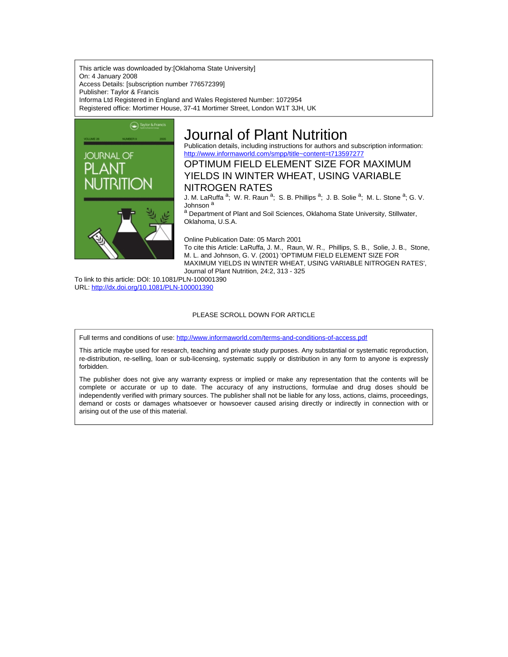This article was downloaded by:[Oklahoma State University] On: 4 January 2008 Access Details: [subscription number 776572399] Publisher: Taylor & Francis Informa Ltd Registered in England and Wales Registered Number: 1072954 Registered office: Mortimer House, 37-41 Mortimer Street, London W1T 3JH, UK



# Journal of Plant Nutrition

Publication details, including instructions for authors and subscription information: <http://www.informaworld.com/smpp/title~content=t713597277>

OPTIMUM FIELD ELEMENT SIZE FOR MAXIMUM YIELDS IN WINTER WHEAT, USING VARIABLE NITROGEN RATES

J. M. LaRuffa <sup>a</sup>; W. R. Raun <sup>a</sup>; S. B. Phillips <sup>a</sup>; J. B. Solie <sup>a</sup>; M. L. Stone <sup>a</sup>; G. V. Johnson<sup>a</sup>

a Department of Plant and Soil Sciences, Oklahoma State University, Stillwater, Oklahoma, U.S.A.

Online Publication Date: 05 March 2001

To cite this Article: LaRuffa, J. M., Raun, W. R., Phillips, S. B., Solie, J. B., Stone, M. L. and Johnson, G. V. (2001) 'OPTIMUM FIELD ELEMENT SIZE FOR MAXIMUM YIELDS IN WINTER WHEAT, USING VARIABLE NITROGEN RATES', Journal of Plant Nutrition, 24:2, 313 - 325

To link to this article: DOI: 10.1081/PLN-100001390 URL: <http://dx.doi.org/10.1081/PLN-100001390>

### PLEASE SCROLL DOWN FOR ARTICLE

Full terms and conditions of use: <http://www.informaworld.com/terms-and-conditions-of-access.pdf>

This article maybe used for research, teaching and private study purposes. Any substantial or systematic reproduction, re-distribution, re-selling, loan or sub-licensing, systematic supply or distribution in any form to anyone is expressly forbidden.

The publisher does not give any warranty express or implied or make any representation that the contents will be complete or accurate or up to date. The accuracy of any instructions, formulae and drug doses should be independently verified with primary sources. The publisher shall not be liable for any loss, actions, claims, proceedings, demand or costs or damages whatsoever or howsoever caused arising directly or indirectly in connection with or arising out of the use of this material.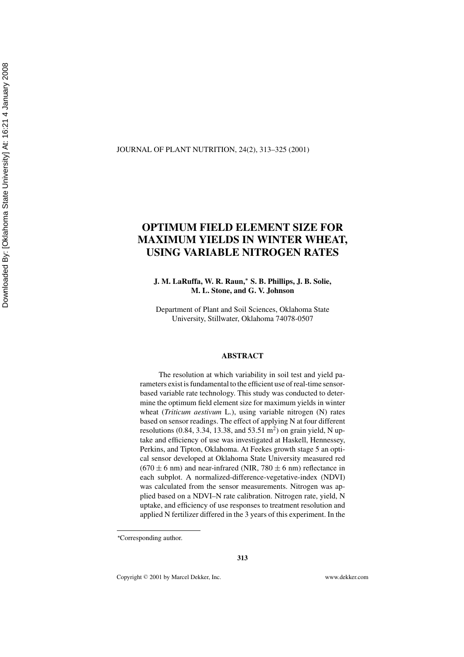### JOURNAL OF PLANT NUTRITION, 24(2), 313–325 (2001)

## **OPTIMUM FIELD ELEMENT SIZE FOR MAXIMUM YIELDS IN WINTER WHEAT, USING VARIABLE NITROGEN RATES**

**J. M. LaRuffa, W. R. Raun,***<sup>∗</sup>* **S. B. Phillips, J. B. Solie, M. L. Stone, and G. V. Johnson**

Department of Plant and Soil Sciences, Oklahoma State University, Stillwater, Oklahoma 74078-0507

### **ABSTRACT**

The resolution at which variability in soil test and yield parameters exist is fundamental to the efficient use of real-time sensorbased variable rate technology. This study was conducted to determine the optimum field element size for maximum yields in winter wheat (*Triticum aestivum* L.), using variable nitrogen (N) rates based on sensor readings. The effect of applying N at four different resolutions (0.84, 3.34, 13.38, and 53.51 m<sup>2</sup>) on grain yield, N uptake and efficiency of use was investigated at Haskell, Hennessey, Perkins, and Tipton, Oklahoma. At Feekes growth stage 5 an optical sensor developed at Oklahoma State University measured red  $(670 \pm 6 \text{ nm})$  and near-infrared (NIR, 780  $\pm 6 \text{ nm}$ ) reflectance in each subplot. A normalized-difference-vegetative-index (NDVI) was calculated from the sensor measurements. Nitrogen was applied based on a NDVI–N rate calibration. Nitrogen rate, yield, N uptake, and efficiency of use responses to treatment resolution and applied N fertilizer differed in the 3 years of this experiment. In the

**313**

Copyright <sup>C</sup> 2001 by Marcel Dekker, Inc. www.dekker.com

*<sup>∗</sup>* Corresponding author.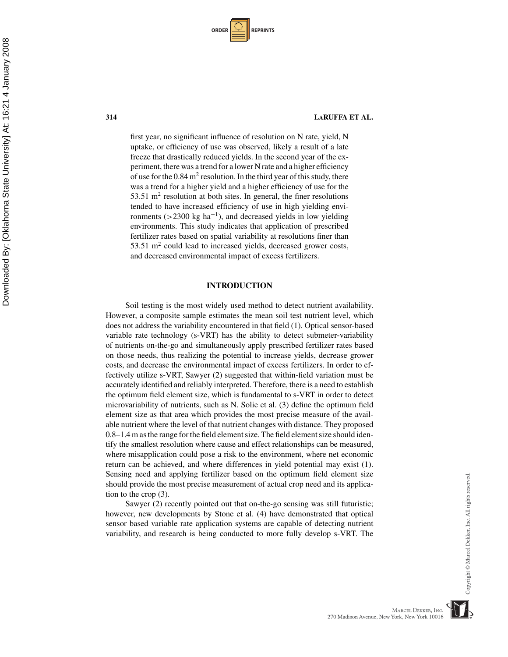| <b>ORDER</b> |  | <b>REPRINTS</b> |
|--------------|--|-----------------|
|--------------|--|-----------------|

first year, no significant influence of resolution on N rate, yield, N uptake, or efficiency of use was observed, likely a result of a late freeze that drastically reduced yields. In the second year of the experiment, there was a trend for a lower N rate and a higher efficiency of use for the  $0.84 \text{ m}^2$  resolution. In the third year of this study, there was a trend for a higher yield and a higher efficiency of use for the 53.51  $m<sup>2</sup>$  resolution at both sites. In general, the finer resolutions tended to have increased efficiency of use in high yielding environments ( $>$ 2300 kg ha<sup>-1</sup>), and decreased yields in low yielding environments. This study indicates that application of prescribed fertilizer rates based on spatial variability at resolutions finer than  $53.51 \text{ m}^2$  could lead to increased yields, decreased grower costs, and decreased environmental impact of excess fertilizers.

### **INTRODUCTION**

Soil testing is the most widely used method to detect nutrient availability. However, a composite sample estimates the mean soil test nutrient level, which does not address the variability encountered in that field (1). Optical sensor-based variable rate technology (s-VRT) has the ability to detect submeter-variability of nutrients on-the-go and simultaneously apply prescribed fertilizer rates based on those needs, thus realizing the potential to increase yields, decrease grower costs, and decrease the environmental impact of excess fertilizers. In order to effectively utilize s-VRT, Sawyer (2) suggested that within-field variation must be accurately identified and reliably interpreted. Therefore, there is a need to establish the optimum field element size, which is fundamental to s-VRT in order to detect microvariability of nutrients, such as N. Solie et al. (3) define the optimum field element size as that area which provides the most precise measure of the available nutrient where the level of that nutrient changes with distance. They proposed 0.8–1.4 m as the range for the field element size. The field element size should identify the smallest resolution where cause and effect relationships can be measured, where misapplication could pose a risk to the environment, where net economic return can be achieved, and where differences in yield potential may exist (1). Sensing need and applying fertilizer based on the optimum field element size should provide the most precise measurement of actual crop need and its application to the crop (3).

Sawyer (2) recently pointed out that on-the-go sensing was still futuristic; however, new developments by Stone et al. (4) have demonstrated that optical sensor based variable rate application systems are capable of detecting nutrient variability, and research is being conducted to more fully develop s-VRT. The

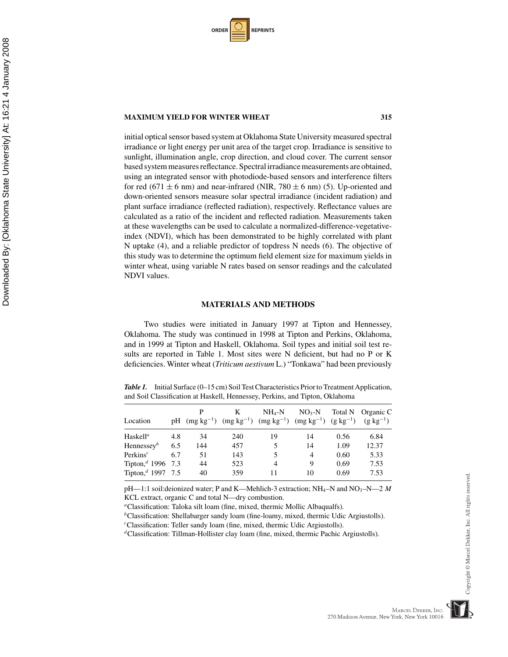| <b>ORDER</b> |  | <b>REPRINTS</b> |
|--------------|--|-----------------|
|--------------|--|-----------------|

initial optical sensor based system at Oklahoma State University measured spectral irradiance or light energy per unit area of the target crop. Irradiance is sensitive to sunlight, illumination angle, crop direction, and cloud cover. The current sensor based system measures reflectance. Spectral irradiance measurements are obtained, using an integrated sensor with photodiode-based sensors and interference filters for red (671  $\pm$  6 nm) and near-infrared (NIR, 780  $\pm$  6 nm) (5). Up-oriented and down-oriented sensors measure solar spectral irradiance (incident radiation) and plant surface irradiance (reflected radiation), respectively. Reflectance values are calculated as a ratio of the incident and reflected radiation. Measurements taken at these wavelengths can be used to calculate a normalized-difference-vegetativeindex (NDVI), which has been demonstrated to be highly correlated with plant N uptake (4), and a reliable predictor of topdress N needs (6). The objective of this study was to determine the optimum field element size for maximum yields in winter wheat, using variable N rates based on sensor readings and the calculated NDVI values.

### **MATERIALS AND METHODS**

Two studies were initiated in January 1997 at Tipton and Hennessey, Oklahoma. The study was continued in 1998 at Tipton and Perkins, Oklahoma, and in 1999 at Tipton and Haskell, Oklahoma. Soil types and initial soil test results are reported in Table 1. Most sites were N deficient, but had no P or K deficiencies. Winter wheat (*Triticum aestivum* L.) "Tonkawa" had been previously

*Table 1.* Initial Surface (0–15 cm) Soil Test Characteristics Prior to Treatment Application, and Soil Classification at Haskell, Hennessey, Perkins, and Tipton, Oklahoma

| Location                          |     |     | K   | $NH_4-N$<br>pH $(mg kg^{-1})$ $(mg kg^{-1})$ $(mg kg^{-1})$ $(mg kg^{-1})$ $(g kg^{-1})$ | $NO3-N$ |      | Total N Organic C<br>$(g \text{ kg}^{-1})$ |
|-----------------------------------|-----|-----|-----|------------------------------------------------------------------------------------------|---------|------|--------------------------------------------|
| Haskell <sup>a</sup>              | 4.8 | 34  | 240 | 19                                                                                       | 14      | 0.56 | 6.84                                       |
| Hennessey $b$                     | 6.5 | 144 | 457 | 5                                                                                        | 14      | 1.09 | 12.37                                      |
| Perkins <sup><math>c</math></sup> | 6.7 | 51  | 143 |                                                                                          | 4       | 0.60 | 5.33                                       |
| Tipton, <sup>d</sup> 1996 7.3     |     | 44  | 523 | 4                                                                                        | 9       | 0.69 | 7.53                                       |
| Tipton, <sup>d</sup> 1997 7.5     |     | 40  | 359 | 11                                                                                       | 10      | 0.69 | 7.53                                       |

 $pH$ —1:1 soil:deionized water; P and K—Mehlich-3 extraction;  $NH<sub>4</sub>$ –N and  $NO<sub>3</sub>$ – $N$ –2 *M* KCL extract, organic C and total N—dry combustion.

*<sup>a</sup>*Classification: Taloka silt loam (fine, mixed, thermic Mollic Albaqualfs).

<sup>*b*</sup>Classification: Shellabarger sandy loam (fine-loamy, mixed, thermic Udic Argiustolls).

*<sup>c</sup>*Classification: Teller sandy loam (fine, mixed, thermic Udic Argiustolls).

*<sup>d</sup>*Classification: Tillman-Hollister clay loam (fine, mixed, thermic Pachic Argiustolls).

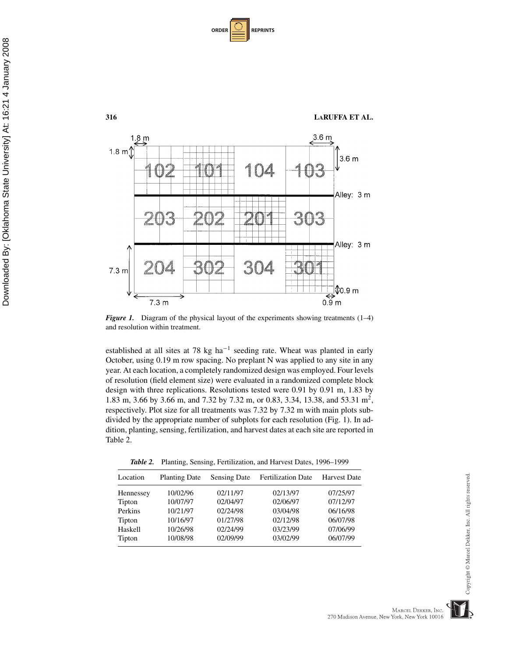| <b>ORDER</b> |  | <b>REPRINTS</b> |
|--------------|--|-----------------|
|--------------|--|-----------------|



*Figure 1.* Diagram of the physical layout of the experiments showing treatments  $(1-4)$ and resolution within treatment.

established at all sites at 78 kg ha−<sup>1</sup> seeding rate. Wheat was planted in early October, using 0.19 m row spacing. No preplant N was applied to any site in any year. At each location, a completely randomized design was employed. Four levels of resolution (field element size) were evaluated in a randomized complete block design with three replications. Resolutions tested were 0.91 by 0.91 m, 1.83 by 1.83 m, 3.66 by 3.66 m, and 7.32 by 7.32 m, or 0.83, 3.34, 13.38, and 53.31 m<sup>2</sup>, respectively. Plot size for all treatments was 7.32 by 7.32 m with main plots subdivided by the appropriate number of subplots for each resolution (Fig. 1). In addition, planting, sensing, fertilization, and harvest dates at each site are reported in Table 2.

*Table 2.* Planting, Sensing, Fertilization, and Harvest Dates, 1996–1999

| Location  | <b>Planting Date</b> | <b>Sensing Date</b> | <b>Fertilization Date</b> | <b>Harvest Date</b> |
|-----------|----------------------|---------------------|---------------------------|---------------------|
| Hennessey | 10/02/96             | 02/11/97            | 02/13/97                  | 07/25/97            |
| Tipton    | 10/07/97             | 02/04/97            | 02/06/97                  | 07/12/97            |
| Perkins   | 10/21/97             | 02/24/98            | 03/04/98                  | 06/16/98            |
| Tipton    | 10/16/97             | 01/27/98            | 02/12/98                  | 06/07/98            |
| Haskell   | 10/26/98             | 02/24/99            | 03/23/99                  | 07/06/99            |
| Tipton    | 10/08/98             | 02/09/99            | 03/02/99                  | 06/07/99            |

MARCEL DEKKER, INC.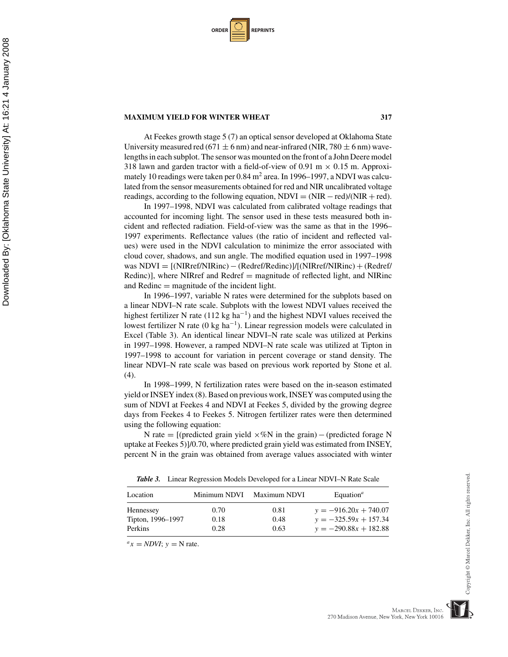| <b>ORDER I</b> |  | <b>REPRINTS</b> |
|----------------|--|-----------------|
|----------------|--|-----------------|

At Feekes growth stage 5 (7) an optical sensor developed at Oklahoma State University measured red (671  $\pm$  6 nm) and near-infrared (NIR, 780  $\pm$  6 nm) wavelengths in each subplot. The sensor was mounted on the front of a John Deere model 318 lawn and garden tractor with a field-of-view of 0.91 m  $\times$  0.15 m. Approximately 10 readings were taken per  $0.84$  m<sup>2</sup> area. In 1996–1997, a NDVI was calculated from the sensor measurements obtained for red and NIR uncalibrated voltage readings, according to the following equation,  $NDVI = (NIR - red)/(NIR + red)$ .

In 1997–1998, NDVI was calculated from calibrated voltage readings that accounted for incoming light. The sensor used in these tests measured both incident and reflected radiation. Field-of-view was the same as that in the 1996– 1997 experiments. Reflectance values (the ratio of incident and reflected values) were used in the NDVI calculation to minimize the error associated with cloud cover, shadows, and sun angle. The modified equation used in 1997–1998 was  $NDVI = [(NIRref/NIRinc) - (Redref/Redinc)]/[(NIRref/NIRinc) + (Redref/$ Redinc)], where NIRref and Redref = magnitude of reflected light, and NIRinc and Redinc  $=$  magnitude of the incident light.

In 1996–1997, variable N rates were determined for the subplots based on a linear NDVI–N rate scale. Subplots with the lowest NDVI values received the highest fertilizer N rate (112 kg ha<sup>-1</sup>) and the highest NDVI values received the lowest fertilizer N rate (0 kg ha<sup>-1</sup>). Linear regression models were calculated in Excel (Table 3). An identical linear NDVI–N rate scale was utilized at Perkins in 1997–1998. However, a ramped NDVI–N rate scale was utilized at Tipton in 1997–1998 to account for variation in percent coverage or stand density. The linear NDVI–N rate scale was based on previous work reported by Stone et al. (4).

In 1998–1999, N fertilization rates were based on the in-season estimated yield or INSEY index (8). Based on previous work, INSEY was computed using the sum of NDVI at Feekes 4 and NDVI at Feekes 5, divided by the growing degree days from Feekes 4 to Feekes 5. Nitrogen fertilizer rates were then determined using the following equation:

N rate = [(predicted grain yield  $\times\%N$  in the grain) – (predicted forage N uptake at Feekes 5)]/0.70, where predicted grain yield was estimated from INSEY, percent N in the grain was obtained from average values associated with winter

*Table 3.* Linear Regression Models Developed for a Linear NDVI–N Rate Scale

| Location          | Minimum NDVI | Maximum NDVI | Equation <sup><math>a</math></sup> |
|-------------------|--------------|--------------|------------------------------------|
| Hennessey         | 0.70         | 0.81         | $y = -916.20x + 740.07$            |
| Tipton, 1996–1997 | 0.18         | 0.48         | $y = -325.59x + 157.34$            |
| Perkins           | 0.28         | 0.63         | $y = -290.88x + 182.88$            |

 $^{a}$ *x* = *NDVI*; *y* = N rate.

MARCEL DEKKER, INC.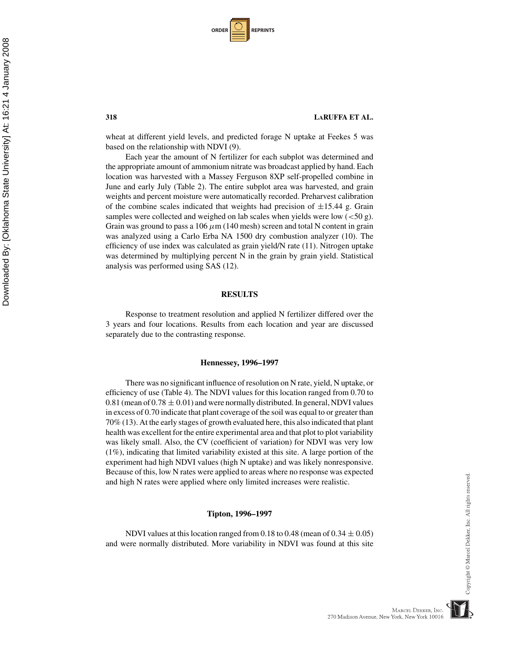| <b>ORDER I</b> |  | <b>REPRINTS</b> |
|----------------|--|-----------------|
|----------------|--|-----------------|

### **318 LARUFFA ET AL.**

wheat at different yield levels, and predicted forage N uptake at Feekes 5 was based on the relationship with NDVI (9).

Each year the amount of N fertilizer for each subplot was determined and the appropriate amount of ammonium nitrate was broadcast applied by hand. Each location was harvested with a Massey Ferguson 8XP self-propelled combine in June and early July (Table 2). The entire subplot area was harvested, and grain weights and percent moisture were automatically recorded. Preharvest calibration of the combine scales indicated that weights had precision of  $\pm 15.44$  g. Grain samples were collected and weighed on lab scales when yields were low  $(<50 \text{ g})$ . Grain was ground to pass a 106  $\mu$ m (140 mesh) screen and total N content in grain was analyzed using a Carlo Erba NA 1500 dry combustion analyzer (10). The efficiency of use index was calculated as grain yield/N rate (11). Nitrogen uptake was determined by multiplying percent N in the grain by grain yield. Statistical analysis was performed using SAS (12).

### **RESULTS**

Response to treatment resolution and applied N fertilizer differed over the 3 years and four locations. Results from each location and year are discussed separately due to the contrasting response.

### **Hennessey, 1996–1997**

There was no significant influence of resolution on N rate, yield, N uptake, or efficiency of use (Table 4). The NDVI values for this location ranged from 0.70 to 0.81 (mean of  $0.78 \pm 0.01$ ) and were normally distributed. In general, NDVI values in excess of 0.70 indicate that plant coverage of the soil was equal to or greater than 70% (13). At the early stages of growth evaluated here, this also indicated that plant health was excellent for the entire experimental area and that plot to plot variability was likely small. Also, the CV (coefficient of variation) for NDVI was very low (1%), indicating that limited variability existed at this site. A large portion of the experiment had high NDVI values (high N uptake) and was likely nonresponsive. Because of this, low N rates were applied to areas where no response was expected and high N rates were applied where only limited increases were realistic.

### **Tipton, 1996–1997**

NDVI values at this location ranged from 0.18 to 0.48 (mean of  $0.34 \pm 0.05$ ) and were normally distributed. More variability in NDVI was found at this site

# Copyright © Marcel Dekker, Inc. All rights reserved

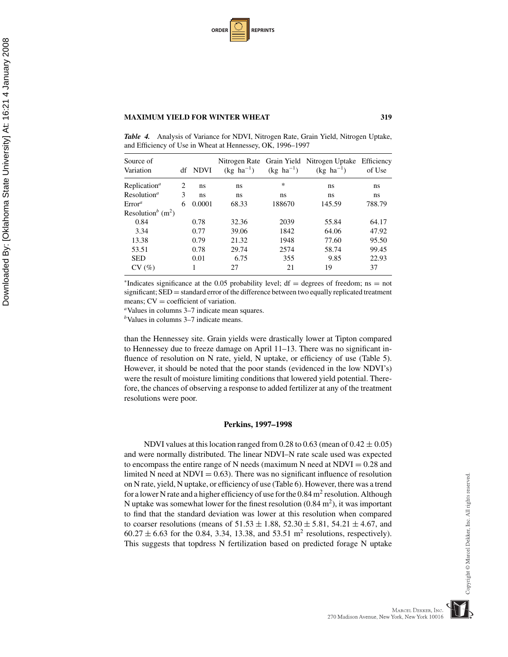| <b>ORDER</b> |  | <b>REPRINTS</b> |
|--------------|--|-----------------|
|--------------|--|-----------------|

*Table 4.* Analysis of Variance for NDVI, Nitrogen Rate, Grain Yield, Nitrogen Uptake, and Efficiency of Use in Wheat at Hennessey, OK, 1996–1997

| Source of<br>Variation                    |   | df NDVI | $(kg \text{ ha}^{-1})$ | $(kg \text{ ha}^{-1})$ | Nitrogen Rate Grain Yield Nitrogen Uptake<br>$(kg \text{ ha}^{-1})$ | Efficiency<br>of Use |
|-------------------------------------------|---|---------|------------------------|------------------------|---------------------------------------------------------------------|----------------------|
| Replication <sup><math>a</math></sup>     | 2 | ns      | ns                     | $\ast$                 | ns                                                                  | ns                   |
| Resolution <sup>a</sup>                   | 3 | ns      | ns                     | ns                     | ns                                                                  | ns                   |
| Error <sup>a</sup>                        | 6 | 0.0001  | 68.33                  | 188670                 | 145.59                                                              | 788.79               |
| Resolution <sup>b</sup> (m <sup>2</sup> ) |   |         |                        |                        |                                                                     |                      |
| 0.84                                      |   | 0.78    | 32.36                  | 2039                   | 55.84                                                               | 64.17                |
| 3.34                                      |   | 0.77    | 39.06                  | 1842                   | 64.06                                                               | 47.92                |
| 13.38                                     |   | 0.79    | 21.32                  | 1948                   | 77.60                                                               | 95.50                |
| 53.51                                     |   | 0.78    | 29.74                  | 2574                   | 58.74                                                               | 99.45                |
| <b>SED</b>                                |   | 0.01    | 6.75                   | 355                    | 9.85                                                                | 22.93                |
| CV(%)                                     |   |         | 27                     | 21                     | 19                                                                  | 37                   |
|                                           |   |         |                        |                        |                                                                     |                      |

\*Indicates significance at the 0.05 probability level; df = degrees of freedom; ns = not significant;  $SED = standard error$  of the difference between two equally replicated treatment means;  $CV = coefficient$  of variation.

<sup>a</sup>Values in columns 3–7 indicate mean squares.

*<sup>b</sup>*Values in columns 3–7 indicate means.

than the Hennessey site. Grain yields were drastically lower at Tipton compared to Hennessey due to freeze damage on April 11–13. There was no significant influence of resolution on N rate, yield, N uptake, or efficiency of use (Table 5). However, it should be noted that the poor stands (evidenced in the low NDVI's) were the result of moisture limiting conditions that lowered yield potential. Therefore, the chances of observing a response to added fertilizer at any of the treatment resolutions were poor.

### **Perkins, 1997–1998**

NDVI values at this location ranged from 0.28 to 0.63 (mean of  $0.42 \pm 0.05$ ) and were normally distributed. The linear NDVI–N rate scale used was expected to encompass the entire range of N needs (maximum N need at  $NDVI = 0.28$  and limited N need at  $NDVI = 0.63$ . There was no significant influence of resolution on N rate, yield, N uptake, or efficiency of use (Table 6). However, there was a trend for a lower N rate and a higher efficiency of use for the  $0.84 \text{ m}^2$  resolution. Although N uptake was somewhat lower for the finest resolution  $(0.84 \text{ m}^2)$ , it was important to find that the standard deviation was lower at this resolution when compared to coarser resolutions (means of  $51.53 \pm 1.88$ ,  $52.30 \pm 5.81$ ,  $54.21 \pm 4.67$ , and  $60.27 \pm 6.63$  for the 0.84, 3.34, 13.38, and 53.51 m<sup>2</sup> resolutions, respectively). This suggests that topdress N fertilization based on predicted forage N uptake

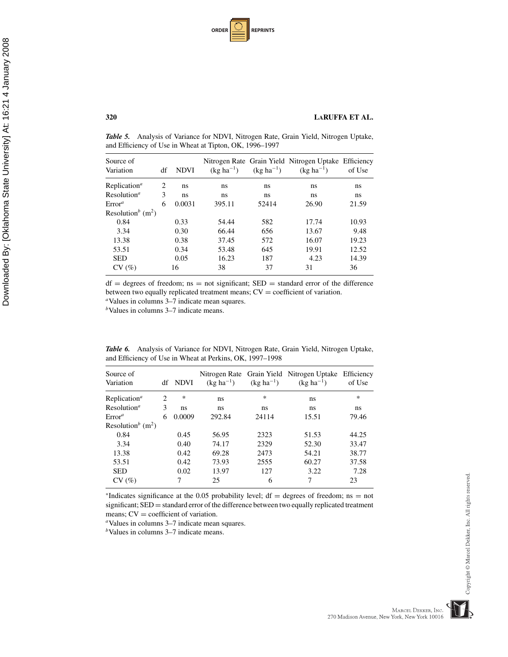| <b>ORDER</b> |  | <b>REPRINTS</b> |
|--------------|--|-----------------|
|--------------|--|-----------------|

*Table 5.* Analysis of Variance for NDVI, Nitrogen Rate, Grain Yield, Nitrogen Uptake, and Efficiency of Use in Wheat at Tipton, OK, 1996–1997

| Source of<br>Variation                | df | <b>NDVI</b> | $(kg ha^{-1})$ | $(kg ha^{-1})$ | Nitrogen Rate Grain Yield Nitrogen Uptake Efficiency<br>$(kg ha^{-1})$ | of Use |
|---------------------------------------|----|-------------|----------------|----------------|------------------------------------------------------------------------|--------|
| Replication <sup><math>a</math></sup> | 2  | ns          | ns             | ns             | ns                                                                     | ns     |
| Resolution <sup><math>a</math></sup>  | 3  | ns          | ns             | ns             | ns                                                                     | ns     |
| Error <sup>a</sup>                    | 6  | 0.0031      | 395.11         | 52414          | 26.90                                                                  | 21.59  |
| Resolution <sup>b</sup> $(m2)$        |    |             |                |                |                                                                        |        |
| 0.84                                  |    | 0.33        | 54.44          | 582            | 17.74                                                                  | 10.93  |
| 3.34                                  |    | 0.30        | 66.44          | 656            | 13.67                                                                  | 9.48   |
| 13.38                                 |    | 0.38        | 37.45          | 572            | 16.07                                                                  | 19.23  |
| 53.51                                 |    | 0.34        | 53.48          | 645            | 19.91                                                                  | 12.52  |
| <b>SED</b>                            |    | 0.05        | 16.23          | 187            | 4.23                                                                   | 14.39  |
| CV(%)                                 |    | 16          | 38             | 37             | 31                                                                     | 36     |

 $df = degrees of freedom;$  ns = not significant;  $SED = standard error of the difference$ between two equally replicated treatment means; CV <sup>=</sup> coefficient of variation. *<sup>a</sup>*Values in columns 3–7 indicate mean squares.

*<sup>b</sup>*Values in columns 3–7 indicate means.

| Source of<br>Variation                    | df | <b>NDVI</b> | $(kg ha^{-1})$ | $(kg ha^{-1})$ | Nitrogen Rate Grain Yield Nitrogen Uptake Efficiency<br>$(kg ha^{-1})$ | of Use |
|-------------------------------------------|----|-------------|----------------|----------------|------------------------------------------------------------------------|--------|
| Replication <sup><math>a</math></sup>     | 2  | ∗           | ns             | *              | ns                                                                     | ∗      |
| Resolution <sup><math>a</math></sup>      | 3  | ns          | ns             | ns             | ns                                                                     | ns     |
| Error <sup>a</sup>                        | 6  | 0.0009      | 292.84         | 24114          | 15.51                                                                  | 79.46  |
| Resolution <sup>b</sup> (m <sup>2</sup> ) |    |             |                |                |                                                                        |        |
| 0.84                                      |    | 0.45        | 56.95          | 2323           | 51.53                                                                  | 44.25  |
| 3.34                                      |    | 0.40        | 74.17          | 2329           | 52.30                                                                  | 33.47  |
| 13.38                                     |    | 0.42        | 69.28          | 2473           | 54.21                                                                  | 38.77  |
| 53.51                                     |    | 0.42        | 73.93          | 2555           | 60.27                                                                  | 37.58  |
| <b>SED</b>                                |    | 0.02        | 13.97          | 127            | 3.22                                                                   | 7.28   |
| CV(%)                                     |    |             | 25             | 6              |                                                                        | 23     |

*Table 6.* Analysis of Variance for NDVI, Nitrogen Rate, Grain Yield, Nitrogen Uptake, and Efficiency of Use in Wheat at Perkins, OK, 1997–1998

\*Indicates significance at the 0.05 probability level; df = degrees of freedom; ns = not significant;  $SED = standard error$  of the difference between two equally replicated treatment means;  $CV = coefficient$  of variation.

<sup>a</sup>Values in columns 3–7 indicate mean squares.

*b*Values in columns 3–7 indicate means.

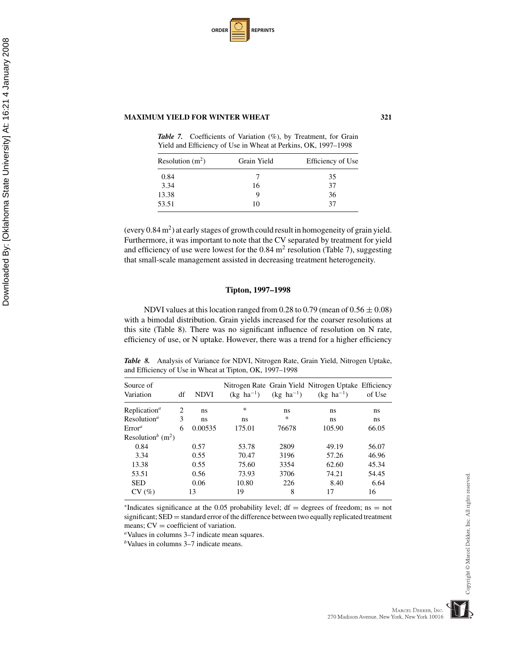| <b>ORDER</b> |  | <b>REPRINTS</b> |
|--------------|--|-----------------|
|--------------|--|-----------------|

Downloaded By: [Oklahoma State University] At: 16:21 4 January 2008

Downloaded By: [Oklahoma State University] At: 16:21 4 January 2008

*Table 7.* Coefficients of Variation (%), by Treatment, for Grain Yield and Efficiency of Use in Wheat at Perkins, OK, 1997–1998

| Resolution $(m^2)$ | Grain Yield | Efficiency of Use |  |
|--------------------|-------------|-------------------|--|
| 0.84               |             | 35                |  |
| 3.34               | 16          | 37                |  |
| 13.38              |             | 36                |  |
| 53.51              | 10          | 37                |  |

(every  $0.84 \text{ m}^2$ ) at early stages of growth could result in homogeneity of grain yield. Furthermore, it was important to note that the CV separated by treatment for yield and efficiency of use were lowest for the  $0.84 \text{ m}^2$  resolution (Table 7), suggesting that small-scale management assisted in decreasing treatment heterogeneity.

### **Tipton, 1997–1998**

NDVI values at this location ranged from 0.28 to 0.79 (mean of  $0.56 \pm 0.08$ ) with a bimodal distribution. Grain yields increased for the coarser resolutions at this site (Table 8). There was no significant influence of resolution on N rate, efficiency of use, or N uptake. However, there was a trend for a higher efficiency

*Table 8.* Analysis of Variance for NDVI, Nitrogen Rate, Grain Yield, Nitrogen Uptake, and Efficiency of Use in Wheat at Tipton, OK, 1997–1998

| Source of<br>Variation                    | df | <b>NDVI</b> | $(kg \text{ ha}^{-1})$ | $(kg \text{ ha}^{-1})$ | Nitrogen Rate Grain Yield Nitrogen Uptake Efficiency<br>$(kg \text{ ha}^{-1})$ | of Use |
|-------------------------------------------|----|-------------|------------------------|------------------------|--------------------------------------------------------------------------------|--------|
| Replication <sup>a</sup>                  | 2  | ns          | $\ast$                 | ns                     | ns                                                                             | ns     |
| Resolution <sup><i>a</i></sup>            | 3  | ns          | ns                     | $\ast$                 | ns                                                                             | ns     |
| $\mathrm{Error}^a$                        | 6  | 0.00535     | 175.01                 | 76678                  | 105.90                                                                         | 66.05  |
| Resolution <sup>b</sup> (m <sup>2</sup> ) |    |             |                        |                        |                                                                                |        |
| 0.84                                      |    | 0.57        | 53.78                  | 2809                   | 49.19                                                                          | 56.07  |
| 3.34                                      |    | 0.55        | 70.47                  | 3196                   | 57.26                                                                          | 46.96  |
| 13.38                                     |    | 0.55        | 75.60                  | 3354                   | 62.60                                                                          | 45.34  |
| 53.51                                     |    | 0.56        | 73.93                  | 3706                   | 74.21                                                                          | 54.45  |
| <b>SED</b>                                |    | 0.06        | 10.80                  | 226                    | 8.40                                                                           | 6.64   |
| CV(%)                                     |    | 13          | 19                     | 8                      | 17                                                                             | 16     |

\*Indicates significance at the 0.05 probability level; df = degrees of freedom; ns = not significant;  $SED = standard error$  of the difference between two equally replicated treatment means;  $CV = coefficient$  of variation.

<sup>a</sup>Values in columns 3–7 indicate mean squares.

*<sup>b</sup>*Values in columns 3–7 indicate means.

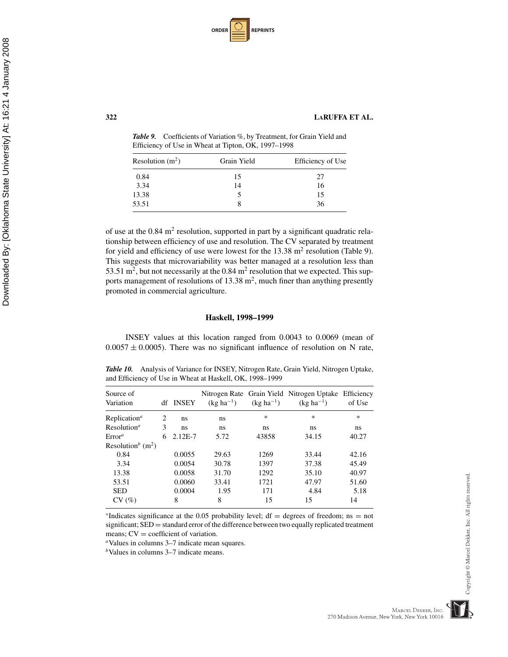| <b>ORDER</b> |  | <b>REPRINTS</b> |
|--------------|--|-----------------|
|--------------|--|-----------------|

*Table 9.* Coefficients of Variation %, by Treatment, for Grain Yield and Efficiency of Use in Wheat at Tipton, OK, 1997–1998

| Resolution $(m^2)$ | Grain Yield | Efficiency of Use |
|--------------------|-------------|-------------------|
| 0.84               | 15          | 27                |
| 3.34               | 14          | 16                |
| 13.38              |             | 15                |
| 53.51              |             | 36                |

of use at the  $0.84 \text{ m}^2$  resolution, supported in part by a significant quadratic relationship between efficiency of use and resolution. The CV separated by treatment for yield and efficiency of use were lowest for the  $13.38 \text{ m}^2$  resolution (Table 9). This suggests that microvariability was better managed at a resolution less than 53.51 m<sup>2</sup>, but not necessarily at the  $0.84$  m<sup>2</sup> resolution that we expected. This supports management of resolutions of  $13.38 \text{ m}^2$ , much finer than anything presently promoted in commercial agriculture.

### **Haskell, 1998–1999**

INSEY values at this location ranged from 0.0043 to 0.0069 (mean of  $0.0057 \pm 0.0005$ ). There was no significant influence of resolution on N rate,

*Table 10.* Analysis of Variance for INSEY, Nitrogen Rate, Grain Yield, Nitrogen Uptake, and Efficiency of Use in Wheat at Haskell, OK, 1998–1999

| Source of<br>Variation                    |   | df INSEY    | $(kg ha^{-1})$ | $(kg ha^{-1})$ | Nitrogen Rate Grain Yield Nitrogen Uptake Efficiency<br>$(kg ha^{-1})$ | of Use |
|-------------------------------------------|---|-------------|----------------|----------------|------------------------------------------------------------------------|--------|
| Replication <sup><i>a</i></sup>           | 2 | ns          | ns             | $\ast$         | $\ast$                                                                 | $\ast$ |
| Resolution <sup>a</sup>                   | 3 | ns          | ns             | ns             | ns                                                                     | ns     |
| Error <sup>a</sup>                        | 6 | $2.12E - 7$ | 5.72           | 43858          | 34.15                                                                  | 40.27  |
| Resolution <sup>b</sup> (m <sup>2</sup> ) |   |             |                |                |                                                                        |        |
| 0.84                                      |   | 0.0055      | 29.63          | 1269           | 33.44                                                                  | 42.16  |
| 3.34                                      |   | 0.0054      | 30.78          | 1397           | 37.38                                                                  | 45.49  |
| 13.38                                     |   | 0.0058      | 31.70          | 1292           | 35.10                                                                  | 40.97  |
| 53.51                                     |   | 0.0060      | 33.41          | 1721           | 47.97                                                                  | 51.60  |
| <b>SED</b>                                |   | 0.0004      | 1.95           | 171            | 4.84                                                                   | 5.18   |
| CV(%)                                     |   | 8           | 8              | 15             | 15                                                                     | 14     |

\*Indicates significance at the 0.05 probability level; df = degrees of freedom; ns = not significant;  $SED = standard error$  of the difference between two equally replicated treatment means;  $CV = coefficient$  of variation.

<sup>*a*</sup>Values in columns 3–7 indicate mean squares.

*<sup>b</sup>*Values in columns 3–7 indicate means.

MARCEL DEKKER, INC.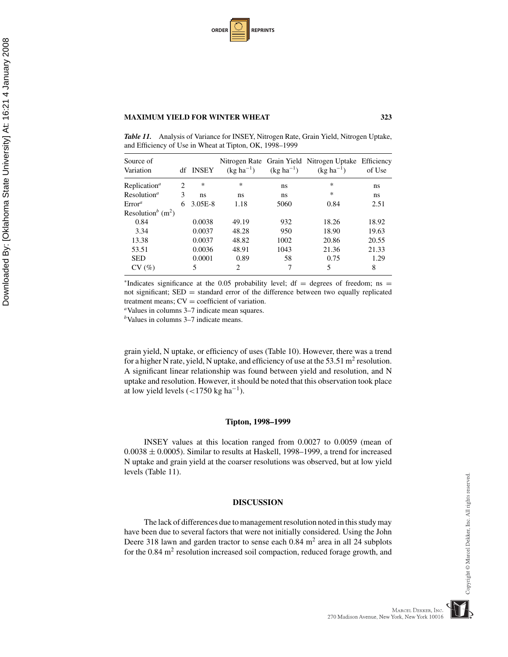| <b>ORDER</b> |  | <b>REPRINTS</b> |
|--------------|--|-----------------|
|--------------|--|-----------------|

*Table 11.* Analysis of Variance for INSEY, Nitrogen Rate, Grain Yield, Nitrogen Uptake, and Efficiency of Use in Wheat at Tipton, OK, 1998–1999

| Source of<br>Variation                    | df | <b>INSEY</b> | $(kg ha^{-1})$ | $(kg ha^{-1})$ | Nitrogen Rate Grain Yield Nitrogen Uptake Efficiency<br>$(kg ha^{-1})$ | of Use |
|-------------------------------------------|----|--------------|----------------|----------------|------------------------------------------------------------------------|--------|
| Replication <sup><i>a</i></sup>           | 2  | ∗            | ∗              | ns             | ∗                                                                      | ns     |
| Resolution <sup>a</sup>                   | 3  | ns           | ns             | ns             | $\ast$                                                                 | ns     |
| Error <sup>a</sup>                        | 6  | $3.05E-8$    | 1.18           | 5060           | 0.84                                                                   | 2.51   |
| Resolution <sup>b</sup> (m <sup>2</sup> ) |    |              |                |                |                                                                        |        |
| 0.84                                      |    | 0.0038       | 49.19          | 932            | 18.26                                                                  | 18.92  |
| 3.34                                      |    | 0.0037       | 48.28          | 950            | 18.90                                                                  | 19.63  |
| 13.38                                     |    | 0.0037       | 48.82          | 1002           | 20.86                                                                  | 20.55  |
| 53.51                                     |    | 0.0036       | 48.91          | 1043           | 21.36                                                                  | 21.33  |
| <b>SED</b>                                |    | 0.0001       | 0.89           | 58             | 0.75                                                                   | 1.29   |
| CV(%)                                     |    | 5            | 2              | 7              | 5                                                                      | 8      |
|                                           |    |              |                |                |                                                                        |        |

\*Indicates significance at the 0.05 probability level; df = degrees of freedom; ns = not significant;  $SED = standard error of the difference between two equally replicated treatment means;  $CV = coefficient of variation$ .$ 

<sup>a</sup>Values in columns 3–7 indicate mean squares.

*<sup>b</sup>*Values in columns 3–7 indicate means.

grain yield, N uptake, or efficiency of uses (Table 10). However, there was a trend for a higher N rate, yield, N uptake, and efficiency of use at the 53.51 m<sup>2</sup> resolution. A significant linear relationship was found between yield and resolution, and N uptake and resolution. However, it should be noted that this observation took place at low yield levels  $\left($  <1750 kg ha<sup>-1</sup>).

### **Tipton, 1998–1999**

INSEY values at this location ranged from 0.0027 to 0.0059 (mean of  $0.0038 \pm 0.0005$ ). Similar to results at Haskell, 1998–1999, a trend for increased N uptake and grain yield at the coarser resolutions was observed, but at low yield levels (Table 11).

### **DISCUSSION**

The lack of differences due to management resolution noted in this study may have been due to several factors that were not initially considered. Using the John Deere 318 lawn and garden tractor to sense each  $0.84 \text{ m}^2$  area in all 24 subplots for the  $0.84 \text{ m}^2$  resolution increased soil compaction, reduced forage growth, and



MARCEL DEKKER, INC. 270 Madison Avenue, New York, New York 10016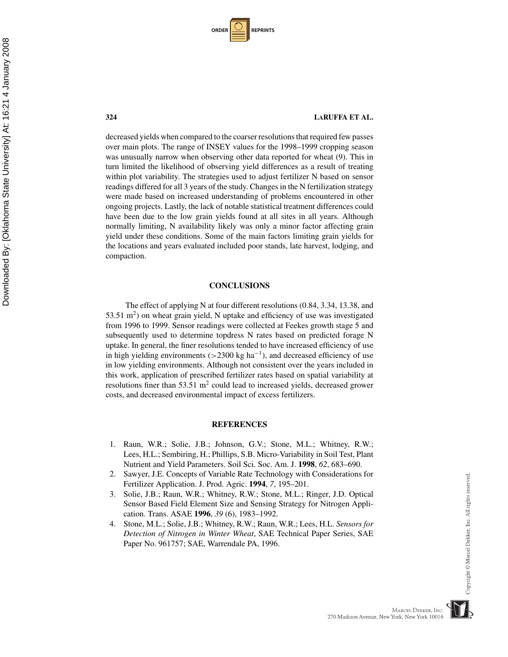| <b>ORDER</b> I |  | <b>REPRINTS</b> |
|----------------|--|-----------------|
|----------------|--|-----------------|

### **324 LARUFFA ET AL.**

decreased yields when compared to the coarser resolutions that required few passes over main plots. The range of INSEY values for the 1998–1999 cropping season was unusually narrow when observing other data reported for wheat (9). This in turn limited the likelihood of observing yield differences as a result of treating within plot variability. The strategies used to adjust fertilizer N based on sensor readings differed for all 3 years of the study. Changes in the N fertilization strategy were made based on increased understanding of problems encountered in other ongoing projects. Lastly, the lack of notable statistical treatment differences could have been due to the low grain yields found at all sites in all years. Although normally limiting, N availability likely was only a minor factor affecting grain yield under these conditions. Some of the main factors limiting grain yields for the locations and years evaluated included poor stands, late harvest, lodging, and compaction.

### **CONCLUSIONS**

The effect of applying N at four different resolutions (0.84, 3.34, 13.38, and 53.51  $\mathrm{m}^2$ ) on wheat grain yield, N uptake and efficiency of use was investigated from 1996 to 1999. Sensor readings were collected at Feekes growth stage 5 and subsequently used to determine topdress N rates based on predicted forage N uptake. In general, the finer resolutions tended to have increased efficiency of use in high yielding environments (>2300 kg ha<sup>-1</sup>), and decreased efficiency of use in low yielding environments. Although not consistent over the years included in this work, application of prescribed fertilizer rates based on spatial variability at resolutions finer than  $53.51 \text{ m}^2$  could lead to increased yields, decreased grower costs, and decreased environmental impact of excess fertilizers.

### **REFERENCES**

- 1. Raun, W.R.; Solie, J.B.; Johnson, G.V.; Stone, M.L.; Whitney, R.W.; Lees, H.L.; Sembiring, H.; Phillips, S.B. Micro-Variability in Soil Test, Plant Nutrient and Yield Parameters. Soil Sci. Soc. Am. J. **1998**, *62*, 683–690.
- 2. Sawyer, J.E. Concepts of Variable Rate Technology with Considerations for Fertilizer Application. J. Prod. Agric. **1994**, *7*, 195–201.
- 3. Solie, J.B.; Raun, W.R.; Whitney, R.W.; Stone, M.L.; Ringer, J.D. Optical Sensor Based Field Element Size and Sensing Strategy for Nitrogen Application. Trans. ASAE **1996**, *39* (6), 1983–1992.
- 4. Stone, M.L.; Solie, J.B.; Whitney, R.W.; Raun, W.R.; Lees, H.L. *Sensors for Detection of Nitrogen in Winter Wheat*, SAE Technical Paper Series, SAE Paper No. 961757; SAE, Warrendale PA, 1996.

MARCEL DEKKER, INC.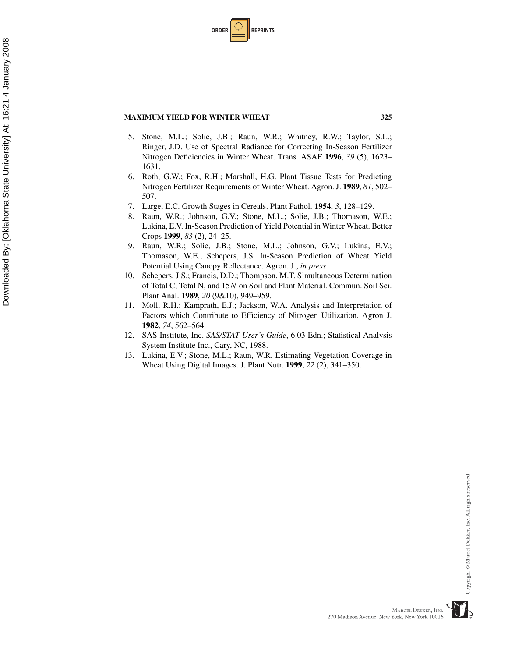| <b>ORDER I</b> |  | <b>REPRINTS</b> |
|----------------|--|-----------------|
|----------------|--|-----------------|

- 5. Stone, M.L.; Solie, J.B.; Raun, W.R.; Whitney, R.W.; Taylor, S.L.; Ringer, J.D. Use of Spectral Radiance for Correcting In-Season Fertilizer Nitrogen Deficiencies in Winter Wheat. Trans. ASAE **1996**, *39* (5), 1623– 1631.
- 6. Roth, G.W.; Fox, R.H.; Marshall, H.G. Plant Tissue Tests for Predicting Nitrogen Fertilizer Requirements of Winter Wheat. Agron. J. **1989**, *81*, 502– 507.
- 7. Large, E.C. Growth Stages in Cereals. Plant Pathol. **1954**, *3*, 128–129.
- 8. Raun, W.R.; Johnson, G.V.; Stone, M.L.; Solie, J.B.; Thomason, W.E.; Lukina, E.V. In-Season Prediction of Yield Potential in Winter Wheat. Better Crops **1999**, *83* (2), 24–25.
- 9. Raun, W.R.; Solie, J.B.; Stone, M.L.; Johnson, G.V.; Lukina, E.V.; Thomason, W.E.; Schepers, J.S. In-Season Prediction of Wheat Yield Potential Using Canopy Reflectance. Agron. J., *in press*.
- 10. Schepers, J.S.; Francis, D.D.; Thompson, M.T. Simultaneous Determination of Total C, Total N, and 15*N* on Soil and Plant Material. Commun. Soil Sci. Plant Anal. **1989**, *20* (9&10), 949–959.
- 11. Moll, R.H.; Kamprath, E.J.; Jackson, W.A. Analysis and Interpretation of Factors which Contribute to Efficiency of Nitrogen Utilization. Agron J. **1982**, *74*, 562–564.
- 12. SAS Institute, Inc. *SAS/STAT User's Guide*, 6.03 Edn.; Statistical Analysis System Institute Inc., Cary, NC, 1988.
- 13. Lukina, E.V.; Stone, M.L.; Raun, W.R. Estimating Vegetation Coverage in Wheat Using Digital Images. J. Plant Nutr. **1999**, *22* (2), 341–350.